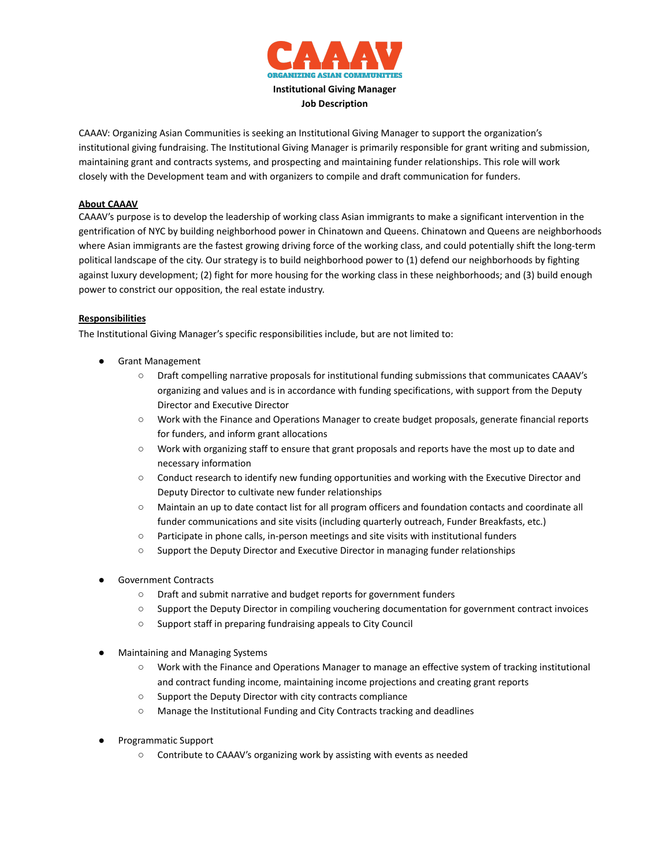

CAAAV: Organizing Asian Communities is seeking an Institutional Giving Manager to support the organization's institutional giving fundraising. The Institutional Giving Manager is primarily responsible for grant writing and submission, maintaining grant and contracts systems, and prospecting and maintaining funder relationships. This role will work closely with the Development team and with organizers to compile and draft communication for funders.

## **About CAAAV**

CAAAV's purpose is to develop the leadership of working class Asian immigrants to make a significant intervention in the gentrification of NYC by building neighborhood power in Chinatown and Queens. Chinatown and Queens are neighborhoods where Asian immigrants are the fastest growing driving force of the working class, and could potentially shift the long-term political landscape of the city. Our strategy is to build neighborhood power to (1) defend our neighborhoods by fighting against luxury development; (2) fight for more housing for the working class in these neighborhoods; and (3) build enough power to constrict our opposition, the real estate industry.

## **Responsibilities**

The Institutional Giving Manager's specific responsibilities include, but are not limited to:

- **Grant Management** 
	- Draft compelling narrative proposals for institutional funding submissions that communicates CAAAV's organizing and values and is in accordance with funding specifications, with support from the Deputy Director and Executive Director
	- Work with the Finance and Operations Manager to create budget proposals, generate financial reports for funders, and inform grant allocations
	- Work with organizing staff to ensure that grant proposals and reports have the most up to date and necessary information
	- Conduct research to identify new funding opportunities and working with the Executive Director and Deputy Director to cultivate new funder relationships
	- Maintain an up to date contact list for all program officers and foundation contacts and coordinate all funder communications and site visits (including quarterly outreach, Funder Breakfasts, etc.)
	- Participate in phone calls, in-person meetings and site visits with institutional funders
	- Support the Deputy Director and Executive Director in managing funder relationships
- Government Contracts
	- Draft and submit narrative and budget reports for government funders
	- Support the Deputy Director in compiling vouchering documentation for government contract invoices
	- Support staff in preparing fundraising appeals to City Council
- **Maintaining and Managing Systems** 
	- Work with the Finance and Operations Manager to manage an effective system of tracking institutional and contract funding income, maintaining income projections and creating grant reports
	- Support the Deputy Director with city contracts compliance
	- Manage the Institutional Funding and City Contracts tracking and deadlines
- Programmatic Support
	- Contribute to CAAAV's organizing work by assisting with events as needed